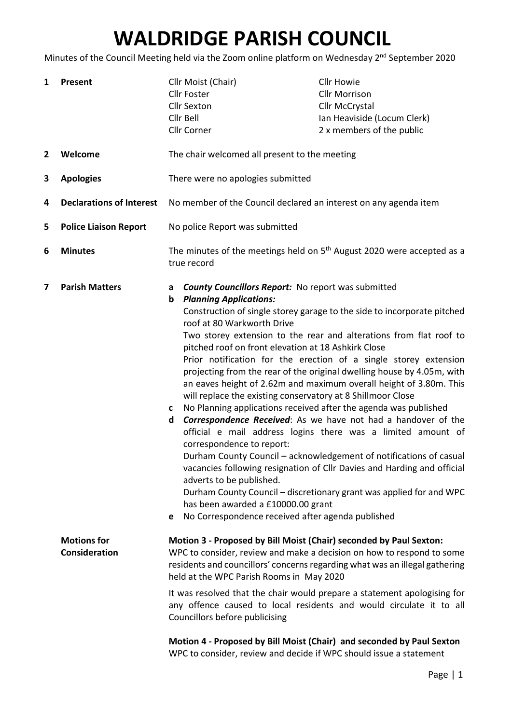## WALDRIDGE PARISH COUNCIL

Minutes of the Council Meeting held via the Zoom online platform on Wednesday 2<sup>nd</sup> September 2020

| 1            | <b>Present</b>                             | Cllr Moist (Chair)<br><b>Cllr Foster</b><br><b>Cllr Sexton</b><br>Cllr Bell<br>Cllr Corner                                                                                                                                                                                                                                                                                                                                                                                                                                                                                                                                                                                                                                                                                                                                                                                                                                                                                                                                                                                                                                                                                                                                                                                                                                                                                                                                                                                                                                                                                                                                                                                                                                                                                                                                                  |  | <b>Cllr Howie</b><br><b>Cllr Morrison</b><br>Cllr McCrystal<br>Ian Heaviside (Locum Clerk)<br>2 x members of the public |
|--------------|--------------------------------------------|---------------------------------------------------------------------------------------------------------------------------------------------------------------------------------------------------------------------------------------------------------------------------------------------------------------------------------------------------------------------------------------------------------------------------------------------------------------------------------------------------------------------------------------------------------------------------------------------------------------------------------------------------------------------------------------------------------------------------------------------------------------------------------------------------------------------------------------------------------------------------------------------------------------------------------------------------------------------------------------------------------------------------------------------------------------------------------------------------------------------------------------------------------------------------------------------------------------------------------------------------------------------------------------------------------------------------------------------------------------------------------------------------------------------------------------------------------------------------------------------------------------------------------------------------------------------------------------------------------------------------------------------------------------------------------------------------------------------------------------------------------------------------------------------------------------------------------------------|--|-------------------------------------------------------------------------------------------------------------------------|
| $\mathbf{2}$ | Welcome                                    | The chair welcomed all present to the meeting                                                                                                                                                                                                                                                                                                                                                                                                                                                                                                                                                                                                                                                                                                                                                                                                                                                                                                                                                                                                                                                                                                                                                                                                                                                                                                                                                                                                                                                                                                                                                                                                                                                                                                                                                                                               |  |                                                                                                                         |
| 3            | <b>Apologies</b>                           | There were no apologies submitted                                                                                                                                                                                                                                                                                                                                                                                                                                                                                                                                                                                                                                                                                                                                                                                                                                                                                                                                                                                                                                                                                                                                                                                                                                                                                                                                                                                                                                                                                                                                                                                                                                                                                                                                                                                                           |  |                                                                                                                         |
| 4            | <b>Declarations of Interest</b>            | No member of the Council declared an interest on any agenda item                                                                                                                                                                                                                                                                                                                                                                                                                                                                                                                                                                                                                                                                                                                                                                                                                                                                                                                                                                                                                                                                                                                                                                                                                                                                                                                                                                                                                                                                                                                                                                                                                                                                                                                                                                            |  |                                                                                                                         |
| 5            | <b>Police Liaison Report</b>               | No police Report was submitted                                                                                                                                                                                                                                                                                                                                                                                                                                                                                                                                                                                                                                                                                                                                                                                                                                                                                                                                                                                                                                                                                                                                                                                                                                                                                                                                                                                                                                                                                                                                                                                                                                                                                                                                                                                                              |  |                                                                                                                         |
| 6            | <b>Minutes</b>                             | The minutes of the meetings held on 5 <sup>th</sup> August 2020 were accepted as a<br>true record                                                                                                                                                                                                                                                                                                                                                                                                                                                                                                                                                                                                                                                                                                                                                                                                                                                                                                                                                                                                                                                                                                                                                                                                                                                                                                                                                                                                                                                                                                                                                                                                                                                                                                                                           |  |                                                                                                                         |
| 7            | <b>Parish Matters</b>                      | <b>County Councillors Report:</b> No report was submitted<br>a<br><b>Planning Applications:</b><br>b<br>Construction of single storey garage to the side to incorporate pitched<br>roof at 80 Warkworth Drive<br>Two storey extension to the rear and alterations from flat roof to<br>pitched roof on front elevation at 18 Ashkirk Close<br>Prior notification for the erection of a single storey extension<br>projecting from the rear of the original dwelling house by 4.05m, with<br>an eaves height of 2.62m and maximum overall height of 3.80m. This<br>will replace the existing conservatory at 8 Shillmoor Close<br>No Planning applications received after the agenda was published<br>c<br>Correspondence Received: As we have not had a handover of the<br>d<br>official e mail address logins there was a limited amount of<br>correspondence to report:<br>Durham County Council - acknowledgement of notifications of casual<br>vacancies following resignation of Cllr Davies and Harding and official<br>adverts to be published.<br>Durham County Council - discretionary grant was applied for and WPC<br>has been awarded a £10000.00 grant<br>No Correspondence received after agenda published<br>е<br>Motion 3 - Proposed by Bill Moist (Chair) seconded by Paul Sexton:<br>WPC to consider, review and make a decision on how to respond to some<br>residents and councillors' concerns regarding what was an illegal gathering<br>held at the WPC Parish Rooms in May 2020<br>It was resolved that the chair would prepare a statement apologising for<br>any offence caused to local residents and would circulate it to all<br>Councillors before publicising<br>Motion 4 - Proposed by Bill Moist (Chair) and seconded by Paul Sexton<br>WPC to consider, review and decide if WPC should issue a statement |  |                                                                                                                         |
|              | <b>Motions for</b><br><b>Consideration</b> |                                                                                                                                                                                                                                                                                                                                                                                                                                                                                                                                                                                                                                                                                                                                                                                                                                                                                                                                                                                                                                                                                                                                                                                                                                                                                                                                                                                                                                                                                                                                                                                                                                                                                                                                                                                                                                             |  |                                                                                                                         |